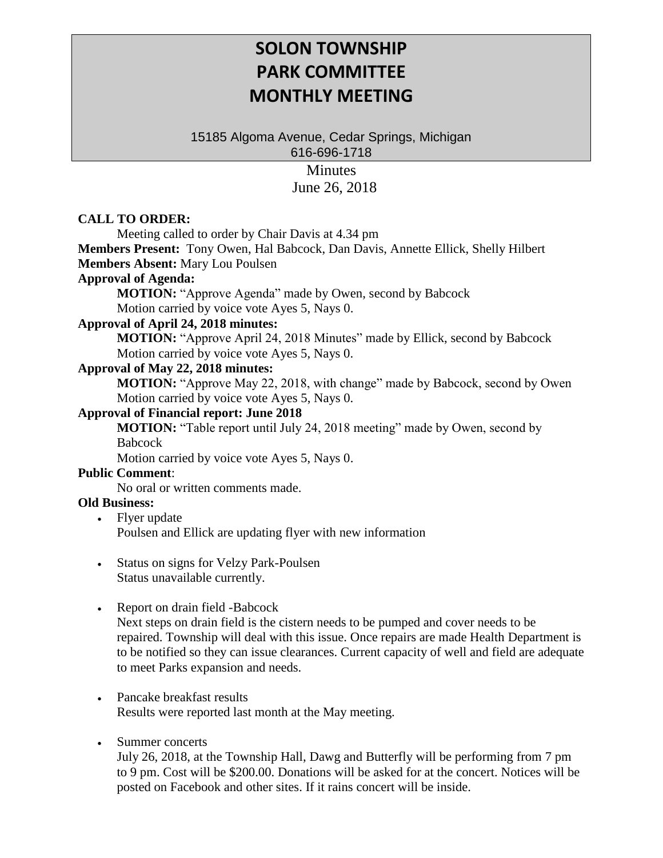# **SOLON TOWNSHIP PARK COMMITTEE MONTHLY MEETING**

15185 Algoma Avenue, Cedar Springs, Michigan 616-696-1718

> Minutes June 26, 2018

### **CALL TO ORDER:**

Meeting called to order by Chair Davis at 4.34 pm

**Members Present:** Tony Owen, Hal Babcock, Dan Davis, Annette Ellick, Shelly Hilbert **Members Absent:** Mary Lou Poulsen

# **Approval of Agenda:**

**MOTION:** "Approve Agenda" made by Owen, second by Babcock Motion carried by voice vote Ayes 5, Nays 0.

#### **Approval of April 24, 2018 minutes:**

**MOTION:** "Approve April 24, 2018 Minutes" made by Ellick, second by Babcock Motion carried by voice vote Ayes 5, Nays 0.

#### **Approval of May 22, 2018 minutes:**

**MOTION:** "Approve May 22, 2018, with change" made by Babcock, second by Owen Motion carried by voice vote Ayes 5, Nays 0.

#### **Approval of Financial report: June 2018**

**MOTION:** "Table report until July 24, 2018 meeting" made by Owen, second by Babcock

Motion carried by voice vote Ayes 5, Nays 0.

#### **Public Comment**:

No oral or written comments made.

### **Old Business:**

- Flyer update Poulsen and Ellick are updating flyer with new information
- Status on signs for Velzy Park-Poulsen Status unavailable currently.
- Report on drain field -Babcock

Next steps on drain field is the cistern needs to be pumped and cover needs to be repaired. Township will deal with this issue. Once repairs are made Health Department is to be notified so they can issue clearances. Current capacity of well and field are adequate to meet Parks expansion and needs.

### • Pancake breakfast results Results were reported last month at the May meeting.

#### • Summer concerts

July 26, 2018, at the Township Hall, Dawg and Butterfly will be performing from 7 pm to 9 pm. Cost will be \$200.00. Donations will be asked for at the concert. Notices will be posted on Facebook and other sites. If it rains concert will be inside.